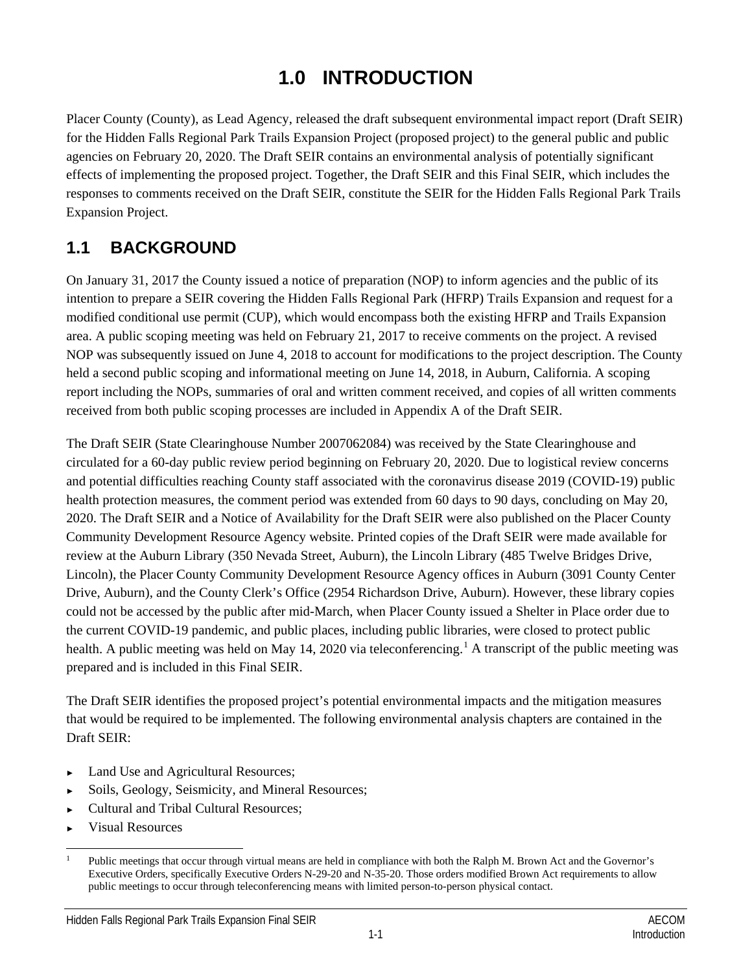# **1.0 INTRODUCTION**

Placer County (County), as Lead Agency, released the draft subsequent environmental impact report (Draft SEIR) for the Hidden Falls Regional Park Trails Expansion Project (proposed project) to the general public and public agencies on February 20, 2020. The Draft SEIR contains an environmental analysis of potentially significant effects of implementing the proposed project. Together, the Draft SEIR and this Final SEIR, which includes the responses to comments received on the Draft SEIR, constitute the SEIR for the Hidden Falls Regional Park Trails Expansion Project.

## **1.1 BACKGROUND**

On January 31, 2017 the County issued a notice of preparation (NOP) to inform agencies and the public of its intention to prepare a SEIR covering the Hidden Falls Regional Park (HFRP) Trails Expansion and request for a modified conditional use permit (CUP), which would encompass both the existing HFRP and Trails Expansion area. A public scoping meeting was held on February 21, 2017 to receive comments on the project. A revised NOP was subsequently issued on June 4, 2018 to account for modifications to the project description. The County held a second public scoping and informational meeting on June 14, 2018, in Auburn, California. A scoping report including the NOPs, summaries of oral and written comment received, and copies of all written comments received from both public scoping processes are included in Appendix A of the Draft SEIR.

The Draft SEIR (State Clearinghouse Number 2007062084) was received by the State Clearinghouse and circulated for a 60-day public review period beginning on February 20, 2020. Due to logistical review concerns and potential difficulties reaching County staff associated with the coronavirus disease 2019 (COVID-19) public health protection measures, the comment period was extended from 60 days to 90 days, concluding on May 20, 2020. The Draft SEIR and a Notice of Availability for the Draft SEIR were also published on the Placer County Community Development Resource Agency website. Printed copies of the Draft SEIR were made available for review at the Auburn Library (350 Nevada Street, Auburn), the Lincoln Library (485 Twelve Bridges Drive, Lincoln), the Placer County Community Development Resource Agency offices in Auburn (3091 County Center Drive, Auburn), and the County Clerk's Office (2954 Richardson Drive, Auburn). However, these library copies could not be accessed by the public after mid-March, when Placer County issued a Shelter in Place order due to the current COVID-19 pandemic, and public places, including public libraries, were closed to protect public health. A public meeting was held on May [1](#page-0-0)4, 2020 via teleconferencing.<sup>1</sup> A transcript of the public meeting was prepared and is included in this Final SEIR.

The Draft SEIR identifies the proposed project's potential environmental impacts and the mitigation measures that would be required to be implemented. The following environmental analysis chapters are contained in the Draft SEIR:

- Land Use and Agricultural Resources;
- Soils, Geology, Seismicity, and Mineral Resources;
- ► Cultural and Tribal Cultural Resources;
- ► Visual Resources

<span id="page-0-0"></span> <sup>1</sup> Public meetings that occur through virtual means are held in compliance with both the Ralph M. Brown Act and the Governor's Executive Orders, specifically Executive Orders N-29-20 and N-35-20. Those orders modified Brown Act requirements to allow public meetings to occur through teleconferencing means with limited person-to-person physical contact.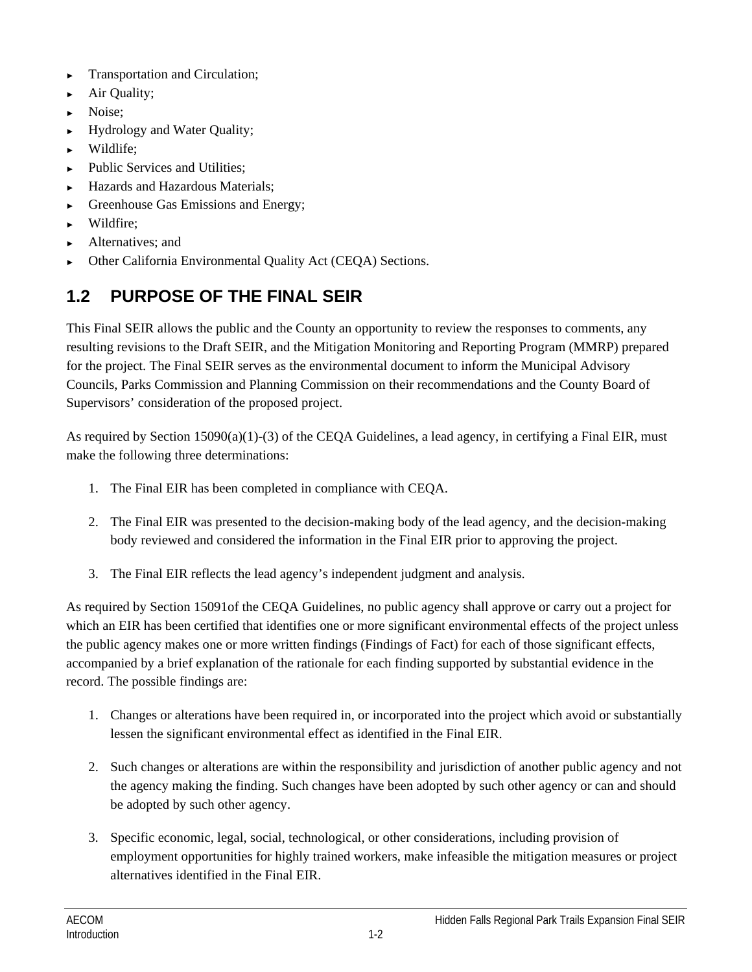- ► Transportation and Circulation;
- Air Quality;
- Noise:
- ► Hydrology and Water Quality;
- Wildlife;
- Public Services and Utilities:
- Hazards and Hazardous Materials:
- Greenhouse Gas Emissions and Energy;
- ► Wildfire;
- ► Alternatives; and
- Other California Environmental Quality Act (CEQA) Sections.

## **1.2 PURPOSE OF THE FINAL SEIR**

This Final SEIR allows the public and the County an opportunity to review the responses to comments, any resulting revisions to the Draft SEIR, and the Mitigation Monitoring and Reporting Program (MMRP) prepared for the project. The Final SEIR serves as the environmental document to inform the Municipal Advisory Councils, Parks Commission and Planning Commission on their recommendations and the County Board of Supervisors' consideration of the proposed project.

As required by Section 15090(a)(1)-(3) of the CEQA Guidelines, a lead agency, in certifying a Final EIR, must make the following three determinations:

- 1. The Final EIR has been completed in compliance with CEQA.
- 2. The Final EIR was presented to the decision-making body of the lead agency, and the decision-making body reviewed and considered the information in the Final EIR prior to approving the project.
- 3. The Final EIR reflects the lead agency's independent judgment and analysis.

As required by Section 15091of the CEQA Guidelines, no public agency shall approve or carry out a project for which an EIR has been certified that identifies one or more significant environmental effects of the project unless the public agency makes one or more written findings (Findings of Fact) for each of those significant effects, accompanied by a brief explanation of the rationale for each finding supported by substantial evidence in the record. The possible findings are:

- 1. Changes or alterations have been required in, or incorporated into the project which avoid or substantially lessen the significant environmental effect as identified in the Final EIR.
- 2. Such changes or alterations are within the responsibility and jurisdiction of another public agency and not the agency making the finding. Such changes have been adopted by such other agency or can and should be adopted by such other agency.
- 3. Specific economic, legal, social, technological, or other considerations, including provision of employment opportunities for highly trained workers, make infeasible the mitigation measures or project alternatives identified in the Final EIR.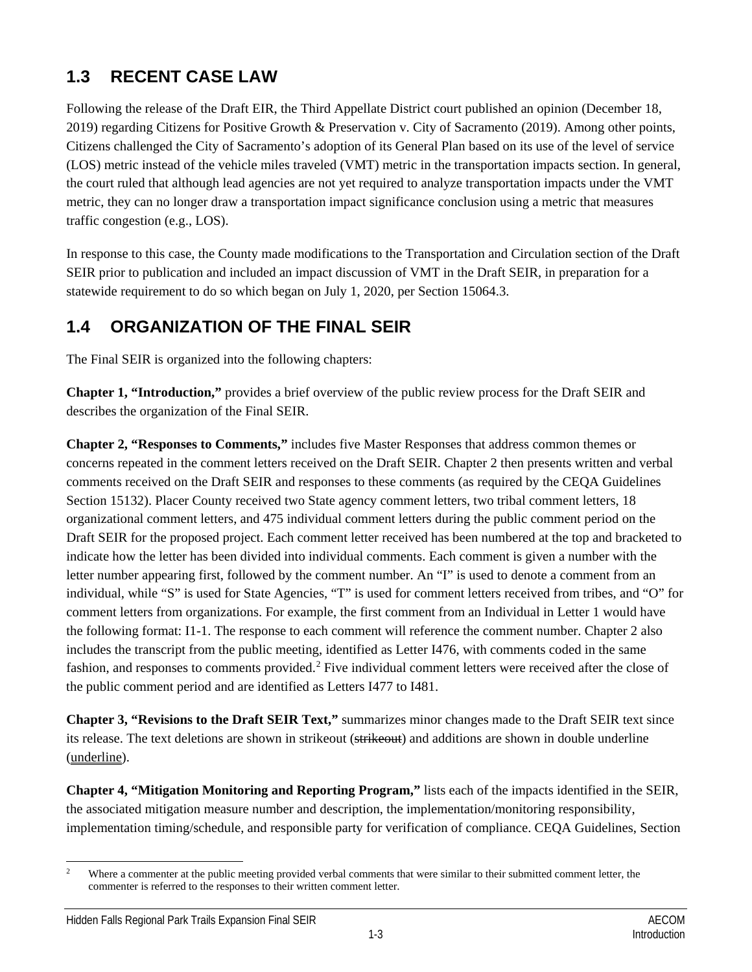## **1.3 RECENT CASE LAW**

Following the release of the Draft EIR, the Third Appellate District court published an opinion (December 18, 2019) regarding Citizens for Positive Growth & Preservation v. City of Sacramento (2019). Among other points, Citizens challenged the City of Sacramento's adoption of its General Plan based on its use of the level of service (LOS) metric instead of the vehicle miles traveled (VMT) metric in the transportation impacts section. In general, the court ruled that although lead agencies are not yet required to analyze transportation impacts under the VMT metric, they can no longer draw a transportation impact significance conclusion using a metric that measures traffic congestion (e.g., LOS).

In response to this case, the County made modifications to the Transportation and Circulation section of the Draft SEIR prior to publication and included an impact discussion of VMT in the Draft SEIR, in preparation for a statewide requirement to do so which began on July 1, 2020, per Section 15064.3.

#### **1.4 ORGANIZATION OF THE FINAL SEIR**

The Final SEIR is organized into the following chapters:

**Chapter 1, "Introduction,"** provides a brief overview of the public review process for the Draft SEIR and describes the organization of the Final SEIR.

**Chapter 2, "Responses to Comments,"** includes five Master Responses that address common themes or concerns repeated in the comment letters received on the Draft SEIR. Chapter 2 then presents written and verbal comments received on the Draft SEIR and responses to these comments (as required by the CEQA Guidelines Section 15132). Placer County received two State agency comment letters, two tribal comment letters, 18 organizational comment letters, and 475 individual comment letters during the public comment period on the Draft SEIR for the proposed project. Each comment letter received has been numbered at the top and bracketed to indicate how the letter has been divided into individual comments. Each comment is given a number with the letter number appearing first, followed by the comment number. An "I" is used to denote a comment from an individual, while "S" is used for State Agencies, "T" is used for comment letters received from tribes, and "O" for comment letters from organizations. For example, the first comment from an Individual in Letter 1 would have the following format: I1-1. The response to each comment will reference the comment number. Chapter 2 also includes the transcript from the public meeting, identified as Letter I476, with comments coded in the same fashion, and responses to comments provided.<sup>[2](#page-2-0)</sup> Five individual comment letters were received after the close of the public comment period and are identified as Letters I477 to I481.

**Chapter 3, "Revisions to the Draft SEIR Text,"** summarizes minor changes made to the Draft SEIR text since its release. The text deletions are shown in strikeout (strikeout) and additions are shown in double underline (underline).

**Chapter 4, "Mitigation Monitoring and Reporting Program,"** lists each of the impacts identified in the SEIR, the associated mitigation measure number and description, the implementation/monitoring responsibility, implementation timing/schedule, and responsible party for verification of compliance. CEQA Guidelines, Section

<span id="page-2-0"></span><sup>&</sup>lt;sup>2</sup> Where a commenter at the public meeting provided verbal comments that were similar to their submitted comment letter, the commenter is referred to the responses to their written comment letter.